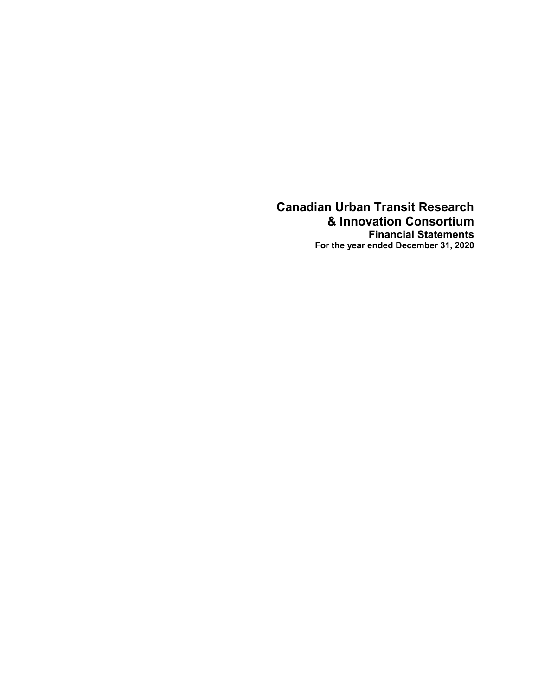Canadian Urban Transit Research & Innovation Consortium Financial Statements For the year ended December 31, 2020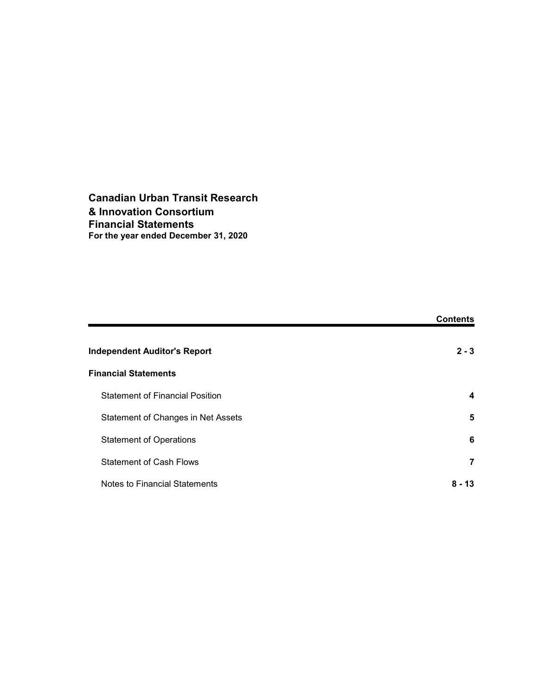## Canadian Urban Transit Research & Innovation Consortium Financial Statements For the year ended December 31, 2020

|                                        | <b>Contents</b> |
|----------------------------------------|-----------------|
| <b>Independent Auditor's Report</b>    | $2 - 3$         |
| <b>Financial Statements</b>            |                 |
| <b>Statement of Financial Position</b> | 4               |
| Statement of Changes in Net Assets     | 5               |
| <b>Statement of Operations</b>         | 6               |
| <b>Statement of Cash Flows</b>         | 7               |
| Notes to Financial Statements          | 8 - 13          |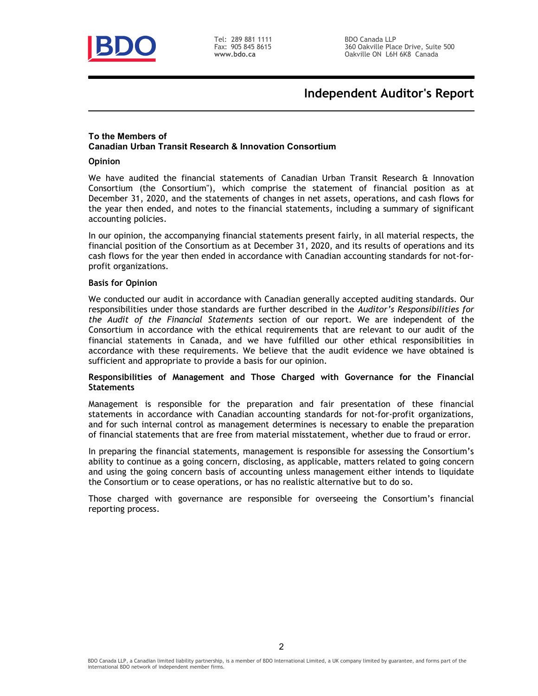

Tel: 289 881 1111 Fax: 905 845 8615 www.bdo.ca

## Independent Auditor's Report

### To the Members of Canadian Urban Transit Research & Innovation Consortium

#### Opinion

We have audited the financial statements of Canadian Urban Transit Research & Innovation Consortium (the Consortium"), which comprise the statement of financial position as at December 31, 2020, and the statements of changes in net assets, operations, and cash flows for the year then ended, and notes to the financial statements, including a summary of significant accounting policies.

In our opinion, the accompanying financial statements present fairly, in all material respects, the financial position of the Consortium as at December 31, 2020, and its results of operations and its cash flows for the year then ended in accordance with Canadian accounting standards for not-forprofit organizations.

#### Basis for Opinion

We conducted our audit in accordance with Canadian generally accepted auditing standards. Our responsibilities under those standards are further described in the Auditor's Responsibilities for the Audit of the Financial Statements section of our report. We are independent of the Consortium in accordance with the ethical requirements that are relevant to our audit of the financial statements in Canada, and we have fulfilled our other ethical responsibilities in accordance with these requirements. We believe that the audit evidence we have obtained is sufficient and appropriate to provide a basis for our opinion.

#### Responsibilities of Management and Those Charged with Governance for the Financial **Statements**

Management is responsible for the preparation and fair presentation of these financial statements in accordance with Canadian accounting standards for not-for-profit organizations, and for such internal control as management determines is necessary to enable the preparation of financial statements that are free from material misstatement, whether due to fraud or error.

In preparing the financial statements, management is responsible for assessing the Consortium's ability to continue as a going concern, disclosing, as applicable, matters related to going concern and using the going concern basis of accounting unless management either intends to liquidate the Consortium or to cease operations, or has no realistic alternative but to do so.

Those charged with governance are responsible for overseeing the Consortium's financial reporting process.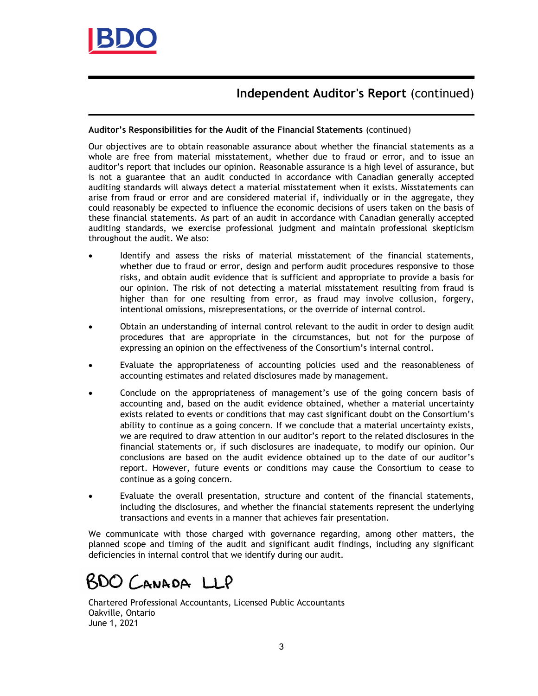

## Independent Auditor's Report (continued)

### Auditor's Responsibilities for the Audit of the Financial Statements (continued)

Our objectives are to obtain reasonable assurance about whether the financial statements as a whole are free from material misstatement, whether due to fraud or error, and to issue an auditor's report that includes our opinion. Reasonable assurance is a high level of assurance, but is not a guarantee that an audit conducted in accordance with Canadian generally accepted auditing standards will always detect a material misstatement when it exists. Misstatements can arise from fraud or error and are considered material if, individually or in the aggregate, they could reasonably be expected to influence the economic decisions of users taken on the basis of these financial statements. As part of an audit in accordance with Canadian generally accepted auditing standards, we exercise professional judgment and maintain professional skepticism throughout the audit. We also:

- Identify and assess the risks of material misstatement of the financial statements, whether due to fraud or error, design and perform audit procedures responsive to those risks, and obtain audit evidence that is sufficient and appropriate to provide a basis for our opinion. The risk of not detecting a material misstatement resulting from fraud is higher than for one resulting from error, as fraud may involve collusion, forgery, intentional omissions, misrepresentations, or the override of internal control.
- Obtain an understanding of internal control relevant to the audit in order to design audit procedures that are appropriate in the circumstances, but not for the purpose of expressing an opinion on the effectiveness of the Consortium's internal control.
- Evaluate the appropriateness of accounting policies used and the reasonableness of accounting estimates and related disclosures made by management.
- Conclude on the appropriateness of management's use of the going concern basis of accounting and, based on the audit evidence obtained, whether a material uncertainty exists related to events or conditions that may cast significant doubt on the Consortium's ability to continue as a going concern. If we conclude that a material uncertainty exists, we are required to draw attention in our auditor's report to the related disclosures in the financial statements or, if such disclosures are inadequate, to modify our opinion. Our conclusions are based on the audit evidence obtained up to the date of our auditor's report. However, future events or conditions may cause the Consortium to cease to continue as a going concern.
- Evaluate the overall presentation, structure and content of the financial statements, including the disclosures, and whether the financial statements represent the underlying transactions and events in a manner that achieves fair presentation.

We communicate with those charged with governance regarding, among other matters, the planned scope and timing of the audit and significant audit findings, including any significant deficiencies in internal control that we identify during our audit.

BDO CANADA LLP

Chartered Professional Accountants, Licensed Public Accountants Oakville, Ontario June 1, 2021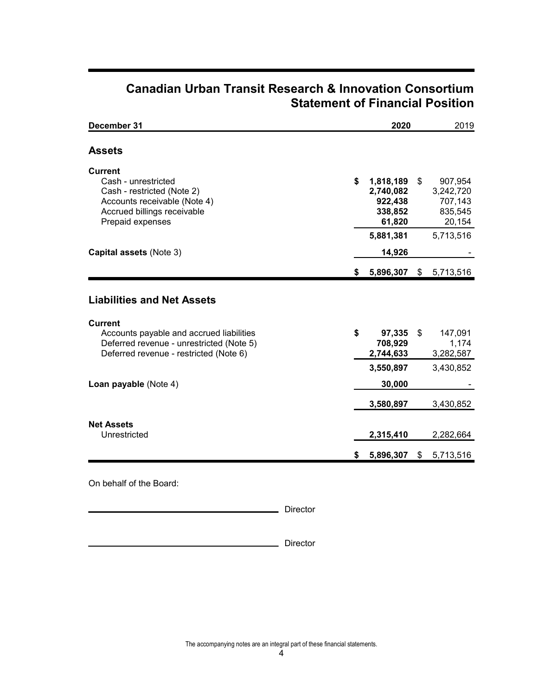| December 31                                                                                                                                            |    | 2020                                                   | 2019                                                       |
|--------------------------------------------------------------------------------------------------------------------------------------------------------|----|--------------------------------------------------------|------------------------------------------------------------|
| <b>Assets</b>                                                                                                                                          |    |                                                        |                                                            |
| <b>Current</b><br>Cash - unrestricted<br>Cash - restricted (Note 2)<br>Accounts receivable (Note 4)<br>Accrued billings receivable<br>Prepaid expenses | \$ | 1,818,189<br>2,740,082<br>922,438<br>338,852<br>61,820 | \$<br>907,954<br>3,242,720<br>707,143<br>835,545<br>20,154 |
|                                                                                                                                                        |    | 5,881,381                                              | 5,713,516                                                  |
| Capital assets (Note 3)                                                                                                                                |    | 14,926                                                 |                                                            |
|                                                                                                                                                        | S  | 5,896,307                                              | \$<br>5,713,516                                            |
| <b>Liabilities and Net Assets</b><br><b>Current</b><br>Accounts payable and accrued liabilities                                                        | \$ | 97,335                                                 | \$<br>147,091                                              |
| Deferred revenue - unrestricted (Note 5)<br>Deferred revenue - restricted (Note 6)                                                                     |    | 708,929<br>2,744,633                                   | 1,174<br>3,282,587                                         |
|                                                                                                                                                        |    | 3,550,897                                              | 3,430,852                                                  |
| Loan payable (Note 4)                                                                                                                                  |    | 30,000                                                 |                                                            |
|                                                                                                                                                        |    | 3,580,897                                              | 3,430,852                                                  |
| <b>Net Assets</b><br>Unrestricted                                                                                                                      |    | 2,315,410                                              | 2,282,664                                                  |
|                                                                                                                                                        | S. | 5,896,307                                              | \$<br>5,713,516                                            |

## Canadian Urban Transit Research & Innovation Consortium Statement of Financial Position

On behalf of the Board:

Director

Director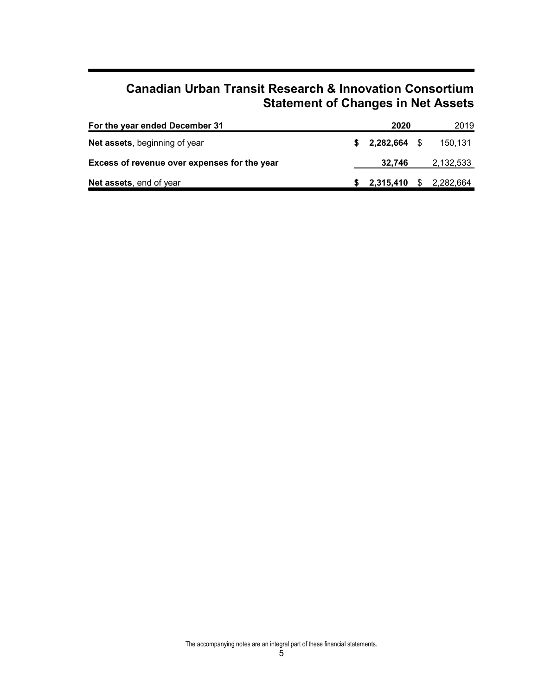## Canadian Urban Transit Research & Innovation Consortium Statement of Changes in Net Assets

| For the year ended December 31               | 2020                     | 2019      |
|----------------------------------------------|--------------------------|-----------|
| Net assets, beginning of year                | $$2.282.664$ \$          | 150.131   |
| Excess of revenue over expenses for the year | 32.746                   | 2,132,533 |
| Net assets, end of year                      | $$2,315,410 \$2,282,664$ |           |

The accompanying notes are an integral part of these financial statements.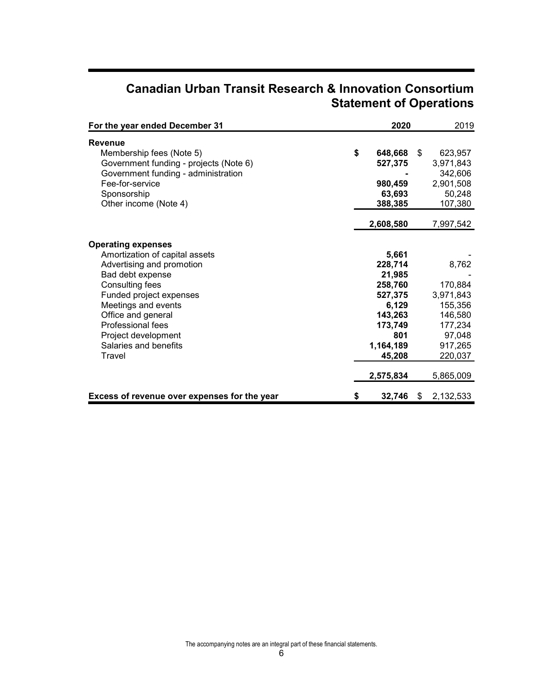## Canadian Urban Transit Research & Innovation Consortium Statement of Operations

| For the year ended December 31                                                                                                                                                                                                                                                         | 2020                                                                                                          | 2019                                                                                           |
|----------------------------------------------------------------------------------------------------------------------------------------------------------------------------------------------------------------------------------------------------------------------------------------|---------------------------------------------------------------------------------------------------------------|------------------------------------------------------------------------------------------------|
| <b>Revenue</b><br>Membership fees (Note 5)<br>Government funding - projects (Note 6)<br>Government funding - administration<br>Fee-for-service<br>Sponsorship<br>Other income (Note 4)                                                                                                 | \$<br>648,668<br>527,375<br>980,459<br>63,693<br>388,385<br>2,608,580                                         | \$<br>623,957<br>3,971,843<br>342,606<br>2,901,508<br>50,248<br>107,380<br>7,997,542           |
| <b>Operating expenses</b><br>Amortization of capital assets<br>Advertising and promotion<br>Bad debt expense<br>Consulting fees<br>Funded project expenses<br>Meetings and events<br>Office and general<br>Professional fees<br>Project development<br>Salaries and benefits<br>Travel | 5,661<br>228,714<br>21,985<br>258,760<br>527,375<br>6,129<br>143,263<br>173,749<br>801<br>1,164,189<br>45,208 | 8,762<br>170,884<br>3,971,843<br>155,356<br>146,580<br>177,234<br>97,048<br>917,265<br>220,037 |
| Excess of revenue over expenses for the year                                                                                                                                                                                                                                           | \$<br>2,575,834<br>32,746                                                                                     | \$<br>5,865,009<br>2,132,533                                                                   |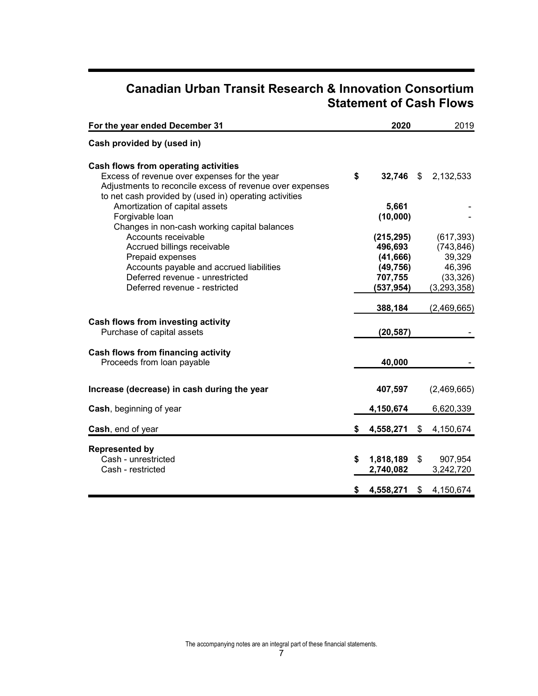# Canadian Urban Transit Research & Innovation Consortium Statement of Cash Flows

| For the year ended December 31                                                                                                                                                         |    |                                                                          |    | 2019                                                                       |  |
|----------------------------------------------------------------------------------------------------------------------------------------------------------------------------------------|----|--------------------------------------------------------------------------|----|----------------------------------------------------------------------------|--|
| Cash provided by (used in)                                                                                                                                                             |    |                                                                          |    |                                                                            |  |
| Cash flows from operating activities<br>Excess of revenue over expenses for the year<br>Adjustments to reconcile excess of revenue over expenses                                       | \$ | $32,746$ \$                                                              |    | 2,132,533                                                                  |  |
| to net cash provided by (used in) operating activities<br>Amortization of capital assets<br>Forgivable loan<br>Changes in non-cash working capital balances                            |    | 5,661<br>(10,000)                                                        |    |                                                                            |  |
| Accounts receivable<br>Accrued billings receivable<br>Prepaid expenses<br>Accounts payable and accrued liabilities<br>Deferred revenue - unrestricted<br>Deferred revenue - restricted |    | (215, 295)<br>496,693<br>(41, 666)<br>(49, 756)<br>707,755<br>(537, 954) |    | (617, 393)<br>(743, 846)<br>39,329<br>46,396<br>(33, 326)<br>(3, 293, 358) |  |
|                                                                                                                                                                                        |    | 388,184                                                                  |    | (2,469,665)                                                                |  |
| Cash flows from investing activity<br>Purchase of capital assets                                                                                                                       |    | (20, 587)                                                                |    |                                                                            |  |
| Cash flows from financing activity<br>Proceeds from loan payable                                                                                                                       |    | 40,000                                                                   |    |                                                                            |  |
| Increase (decrease) in cash during the year                                                                                                                                            |    | 407,597                                                                  |    | (2,469,665)                                                                |  |
| Cash, beginning of year                                                                                                                                                                |    | 4,150,674                                                                |    | 6,620,339                                                                  |  |
| Cash, end of year                                                                                                                                                                      | \$ | 4,558,271                                                                | \$ | 4,150,674                                                                  |  |
| <b>Represented by</b><br>Cash - unrestricted<br>Cash - restricted                                                                                                                      | \$ | 1,818,189<br>2,740,082                                                   | \$ | 907,954<br>3,242,720                                                       |  |
|                                                                                                                                                                                        | S. | 4,558,271                                                                | \$ | 4,150,674                                                                  |  |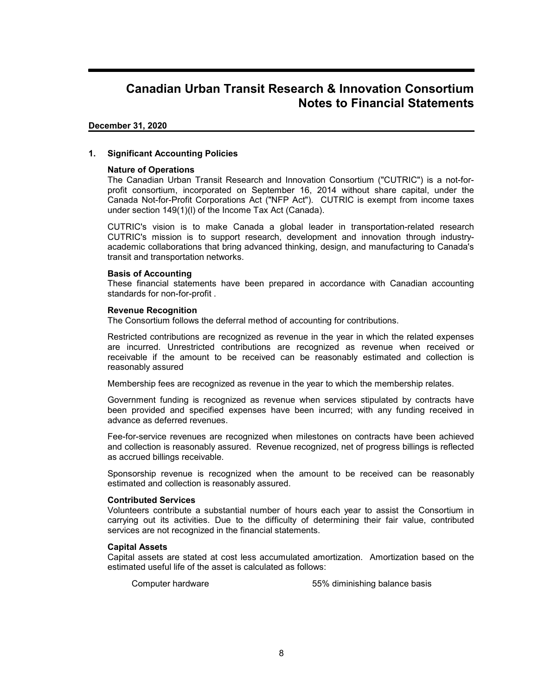#### December 31, 2020

#### 1. Significant Accounting Policies

#### Nature of Operations

The Canadian Urban Transit Research and Innovation Consortium ("CUTRIC") is a not-forprofit consortium, incorporated on September 16, 2014 without share capital, under the Canada Not-for-Profit Corporations Act ("NFP Act"). CUTRIC is exempt from income taxes under section 149(1)(l) of the Income Tax Act (Canada).

CUTRIC's vision is to make Canada a global leader in transportation-related research CUTRIC's mission is to support research, development and innovation through industryacademic collaborations that bring advanced thinking, design, and manufacturing to Canada's transit and transportation networks.

#### Basis of Accounting

These financial statements have been prepared in accordance with Canadian accounting standards for non-for-profit .

#### Revenue Recognition

The Consortium follows the deferral method of accounting for contributions.

Restricted contributions are recognized as revenue in the year in which the related expenses are incurred. Unrestricted contributions are recognized as revenue when received or receivable if the amount to be received can be reasonably estimated and collection is reasonably assured

Membership fees are recognized as revenue in the year to which the membership relates.

Government funding is recognized as revenue when services stipulated by contracts have been provided and specified expenses have been incurred; with any funding received in advance as deferred revenues.

Fee-for-service revenues are recognized when milestones on contracts have been achieved and collection is reasonably assured. Revenue recognized, net of progress billings is reflected as accrued billings receivable.

Sponsorship revenue is recognized when the amount to be received can be reasonably estimated and collection is reasonably assured.

#### Contributed Services

Volunteers contribute a substantial number of hours each year to assist the Consortium in carrying out its activities. Due to the difficulty of determining their fair value, contributed services are not recognized in the financial statements.

#### Capital Assets

Capital assets are stated at cost less accumulated amortization. Amortization based on the estimated useful life of the asset is calculated as follows:

Computer hardware 55% diminishing balance basis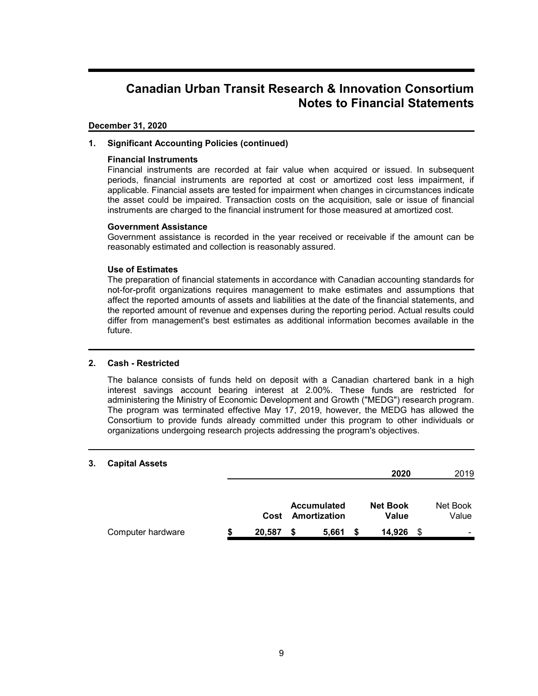### December 31, 2020

### 1. Significant Accounting Policies (continued)

### Financial Instruments

Financial instruments are recorded at fair value when acquired or issued. In subsequent periods, financial instruments are reported at cost or amortized cost less impairment, if applicable. Financial assets are tested for impairment when changes in circumstances indicate the asset could be impaired. Transaction costs on the acquisition, sale or issue of financial instruments are charged to the financial instrument for those measured at amortized cost.

#### Government Assistance

Government assistance is recorded in the year received or receivable if the amount can be reasonably estimated and collection is reasonably assured.

### Use of Estimates

The preparation of financial statements in accordance with Canadian accounting standards for not-for-profit organizations requires management to make estimates and assumptions that affect the reported amounts of assets and liabilities at the date of the financial statements, and the reported amount of revenue and expenses during the reporting period. Actual results could differ from management's best estimates as additional information becomes available in the future.

#### 2. Cash - Restricted

The balance consists of funds held on deposit with a Canadian chartered bank in a high interest savings account bearing interest at 2.00%. These funds are restricted for administering the Ministry of Economic Development and Growth ("MEDG") research program. The program was terminated effective May 17, 2019, however, the MEDG has allowed the Consortium to provide funds already committed under this program to other individuals or organizations undergoing research projects addressing the program's objectives.

| 3. | <b>Capital Assets</b> |        |                    |   |                 |    |                          |
|----|-----------------------|--------|--------------------|---|-----------------|----|--------------------------|
|    |                       |        |                    |   | 2020            |    | 2019                     |
|    |                       |        |                    |   |                 |    |                          |
|    |                       |        | <b>Accumulated</b> |   | <b>Net Book</b> |    | Net Book                 |
|    |                       | Cost   | Amortization       |   | <b>Value</b>    |    | Value                    |
|    | Computer hardware     | 20,587 | 5,661              | S | 14.926          | -S | $\overline{\phantom{0}}$ |

### 9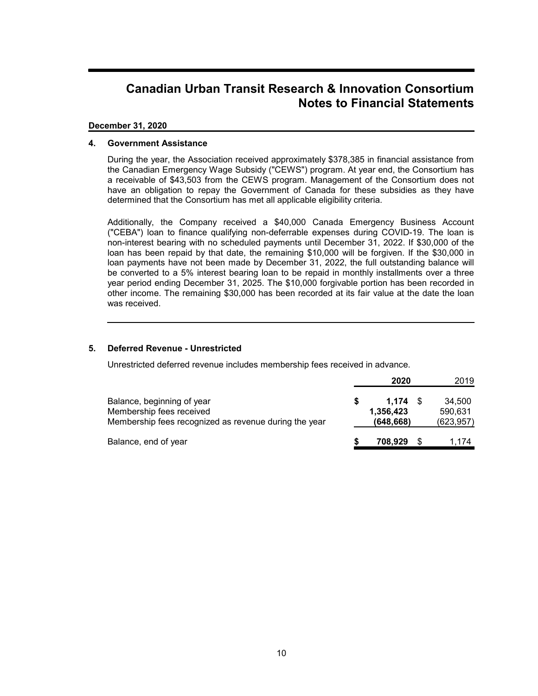### December 31, 2020

### 4. Government Assistance

During the year, the Association received approximately \$378,385 in financial assistance from the Canadian Emergency Wage Subsidy ("CEWS") program. At year end, the Consortium has a receivable of \$43,503 from the CEWS program. Management of the Consortium does not have an obligation to repay the Government of Canada for these subsidies as they have determined that the Consortium has met all applicable eligibility criteria.

Additionally, the Company received a \$40,000 Canada Emergency Business Account ("CEBA") loan to finance qualifying non-deferrable expenses during COVID-19. The loan is non-interest bearing with no scheduled payments until December 31, 2022. If \$30,000 of the loan has been repaid by that date, the remaining \$10,000 will be forgiven. If the \$30,000 in loan payments have not been made by December 31, 2022, the full outstanding balance will be converted to a 5% interest bearing loan to be repaid in monthly installments over a three year period ending December 31, 2025. The \$10,000 forgivable portion has been recorded in other income. The remaining \$30,000 has been recorded at its fair value at the date the loan was received.

## 5. Deferred Revenue - Unrestricted

Unrestricted deferred revenue includes membership fees received in advance.

|                                                                                                                 | 2020                                 | 2019                            |
|-----------------------------------------------------------------------------------------------------------------|--------------------------------------|---------------------------------|
| Balance, beginning of year<br>Membership fees received<br>Membership fees recognized as revenue during the year | $1.174$ \$<br>1,356,423<br>(648,668) | 34,500<br>590,631<br>(623, 957) |
| Balance, end of year                                                                                            | 708,929                              | 1,174                           |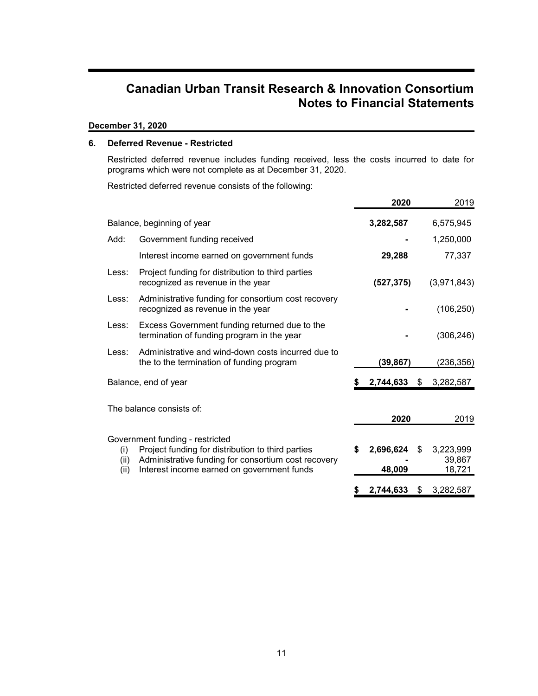## December 31, 2020

### 6. Deferred Revenue - Restricted

Restricted deferred revenue includes funding received, less the costs incurred to date for programs which were not complete as at December 31, 2020.

Restricted deferred revenue consists of the following:

|                     |                                                                                                                                                                                           |   | 2020                |      | 2019                          |
|---------------------|-------------------------------------------------------------------------------------------------------------------------------------------------------------------------------------------|---|---------------------|------|-------------------------------|
|                     | Balance, beginning of year                                                                                                                                                                |   | 3,282,587           |      | 6,575,945                     |
| Add:                | Government funding received                                                                                                                                                               |   |                     |      | 1,250,000                     |
|                     | Interest income earned on government funds                                                                                                                                                |   | 29,288              |      | 77,337                        |
| Less:               | Project funding for distribution to third parties<br>recognized as revenue in the year                                                                                                    |   | (527, 375)          |      | (3,971,843)                   |
| Less:               | Administrative funding for consortium cost recovery<br>recognized as revenue in the year                                                                                                  |   |                     |      | (106, 250)                    |
| Less:               | Excess Government funding returned due to the<br>termination of funding program in the year                                                                                               |   |                     |      | (306, 246)                    |
| Less:               | Administrative and wind-down costs incurred due to<br>the to the termination of funding program                                                                                           |   | (39,867)            |      | (236,356)                     |
|                     | Balance, end of year                                                                                                                                                                      |   | 2,744,633           | - \$ | 3,282,587                     |
|                     | The balance consists of:                                                                                                                                                                  |   | 2020                |      | 2019                          |
| (i)<br>(ii)<br>(ii) | Government funding - restricted<br>Project funding for distribution to third parties<br>Administrative funding for consortium cost recovery<br>Interest income earned on government funds | S | 2,696,624<br>48,009 | \$.  | 3,223,999<br>39,867<br>18,721 |
|                     |                                                                                                                                                                                           |   | 2,744,633           | S    | 3,282,587                     |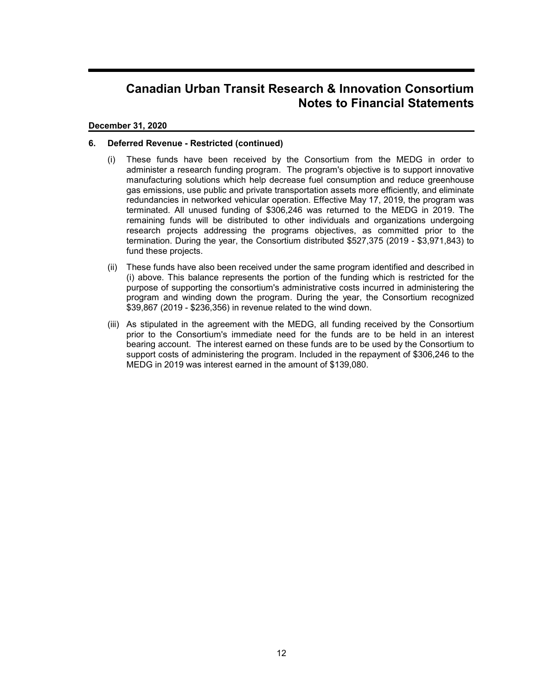### December 31, 2020

### 6. Deferred Revenue - Restricted (continued)

- (i) These funds have been received by the Consortium from the MEDG in order to administer a research funding program. The program's objective is to support innovative manufacturing solutions which help decrease fuel consumption and reduce greenhouse gas emissions, use public and private transportation assets more efficiently, and eliminate redundancies in networked vehicular operation. Effective May 17, 2019, the program was terminated. All unused funding of \$306,246 was returned to the MEDG in 2019. The remaining funds will be distributed to other individuals and organizations undergoing research projects addressing the programs objectives, as committed prior to the termination. During the year, the Consortium distributed \$527,375 (2019 - \$3,971,843) to fund these projects.
- (ii) These funds have also been received under the same program identified and described in (i) above. This balance represents the portion of the funding which is restricted for the purpose of supporting the consortium's administrative costs incurred in administering the program and winding down the program. During the year, the Consortium recognized \$39,867 (2019 - \$236,356) in revenue related to the wind down.
- (iii) As stipulated in the agreement with the MEDG, all funding received by the Consortium prior to the Consortium's immediate need for the funds are to be held in an interest bearing account. The interest earned on these funds are to be used by the Consortium to support costs of administering the program. Included in the repayment of \$306,246 to the MEDG in 2019 was interest earned in the amount of \$139,080.